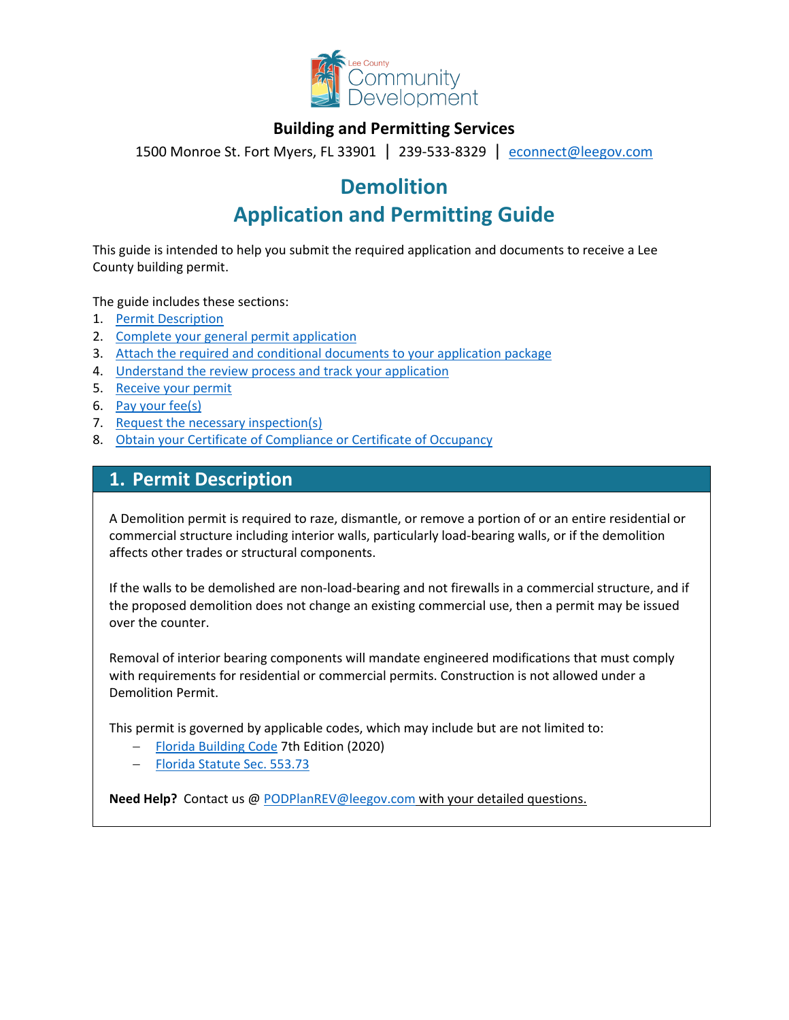

### **Building and Permitting Services**

1500 Monroe St. Fort Myers, FL 33901 | 239-533-8329 |[econnect@leegov.com](mailto:econnect@leegov.com)

# **Demolition**

# **Application and Permitting Guide**

This guide is intended to help you submit the required application and documents to receive a Lee County building permit.

The guide includes these sections:

- 1. [Permit Description](#page-0-0)
- 2. [Complete your general permit application](#page-1-0)
- 3. [Attach the required and conditional documents to your application package](#page-2-0)
- 4. [Understand the review process and track your application](#page-4-0)
- 5. [Receive your permit](#page-5-0)
- 6. [Pay your fee\(s\)](#page-6-0)
- 7. [Request the necessary inspection\(s\)](#page-6-1)
- 8. [Obtain your Certificate of Compliance or Certificate of Occupancy](#page-6-2)

### <span id="page-0-0"></span>**1. Permit Description**

A Demolition permit is required to raze, dismantle, or remove a portion of or an entire residential or commercial structure including interior walls, particularly load-bearing walls, or if the demolition affects other trades or structural components.

If the walls to be demolished are non-load-bearing and not firewalls in a commercial structure, and if the proposed demolition does not change an existing commercial use, then a permit may be issued over the counter.

Removal of interior bearing components will mandate engineered modifications that must comply with requirements for residential or commercial permits. Construction is not allowed under a Demolition Permit.

This permit is governed by applicable codes, which may include but are not limited to:

- − [Florida Building Code](https://codes.iccsafe.org/codes/florida) 7th Edition (2020)
- − [Florida Statute Sec. 553.73](http://www.leg.state.fl.us/Statutes/index.cfm?App_mode=Display_Statute&URL=0500-0599/0553/Sections/0553.73.html)

**Need Help?** Contact us @ [PODPlanREV@leegov.com](mailto:PODPlanREV@leegov.com) with your detailed questions.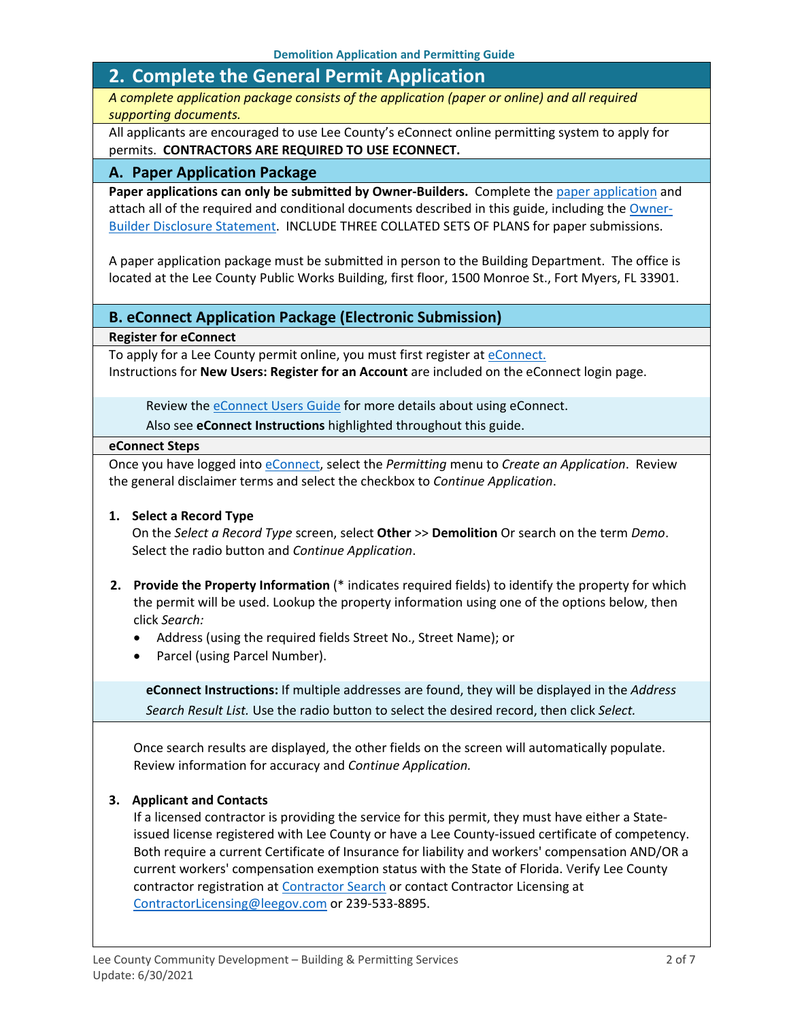### <span id="page-1-0"></span>**2. Complete the General Permit Application**

*A complete application package consists of the application (paper or online) and all required supporting documents.*

All applicants are encouraged to use Lee County's eConnect online permitting system to apply for permits. **CONTRACTORS ARE REQUIRED TO USE ECONNECT.**

#### **A. Paper Application Package**

Paper applications can only be submitted by Owner-Builders. Complete the [paper application](https://www.leegov.com/dcd/PermittingDocs/DEMApplication.pdf) and attach all of the required and conditional documents described in this guide, including the [Owner-](https://www.leegov.com/dcd/PermittingDocs/OwnerBldrDisclosure.pdf)[Builder Disclosure Statement.](https://www.leegov.com/dcd/PermittingDocs/OwnerBldrDisclosure.pdf) INCLUDE THREE COLLATED SETS OF PLANS for paper submissions.

A paper application package must be submitted in person to the Building Department. The office is located at the Lee County Public Works Building, first floor, 1500 Monroe St., Fort Myers, FL 33901.

#### **B. eConnect Application Package (Electronic Submission)**

**Register for eConnect**

To apply for a Lee County permit online, you must first register at [eConnect.](https://accelaaca.leegov.com/aca/) Instructions for **New Users: Register for an Account** are included on the eConnect login page.

Review th[e eConnect Users Guide](https://www.leegov.com/dcd/Documents/eServ/eConnect/eServicesGuide.pdf) for more details about using eConnect.

Also see **eConnect Instructions** highlighted throughout this guide.

#### **eConnect Steps**

Once you have logged into [eConnect,](https://accelaaca.leegov.com/aca/) select the *Permitting* menu to *Create an Application*. Review the general disclaimer terms and select the checkbox to *Continue Application*.

#### **1. Select a Record Type**

On the *Select a Record Type* screen, select **Other** >> **Demolition** Or search on the term *Demo*. Select the radio button and *Continue Application*.

- **2. Provide the Property Information** (\* indicates required fields) to identify the property for which the permit will be used. Lookup the property information using one of the options below, then click *Search:*
	- Address (using the required fields Street No., Street Name); or
	- Parcel (using Parcel Number).

**eConnect Instructions:** If multiple addresses are found, they will be displayed in the *Address Search Result List.* Use the radio button to select the desired record, then click *Select.*

Once search results are displayed, the other fields on the screen will automatically populate. Review information for accuracy and *Continue Application.*

#### **3. Applicant and Contacts**

If a licensed contractor is providing the service for this permit, they must have either a Stateissued license registered with Lee County or have a Lee County-issued certificate of competency. Both require a current Certificate of Insurance for liability and workers' compensation AND/OR a current workers' compensation exemption status with the State of Florida. Verify Lee County contractor registration at [Contractor Search](https://www.leegov.com/dcd/ContLic/ActCont) or contact Contractor Licensing at [ContractorLicensing@leegov.com](mailto:ContractorLicensing@leegov.com) or 239-533-8895.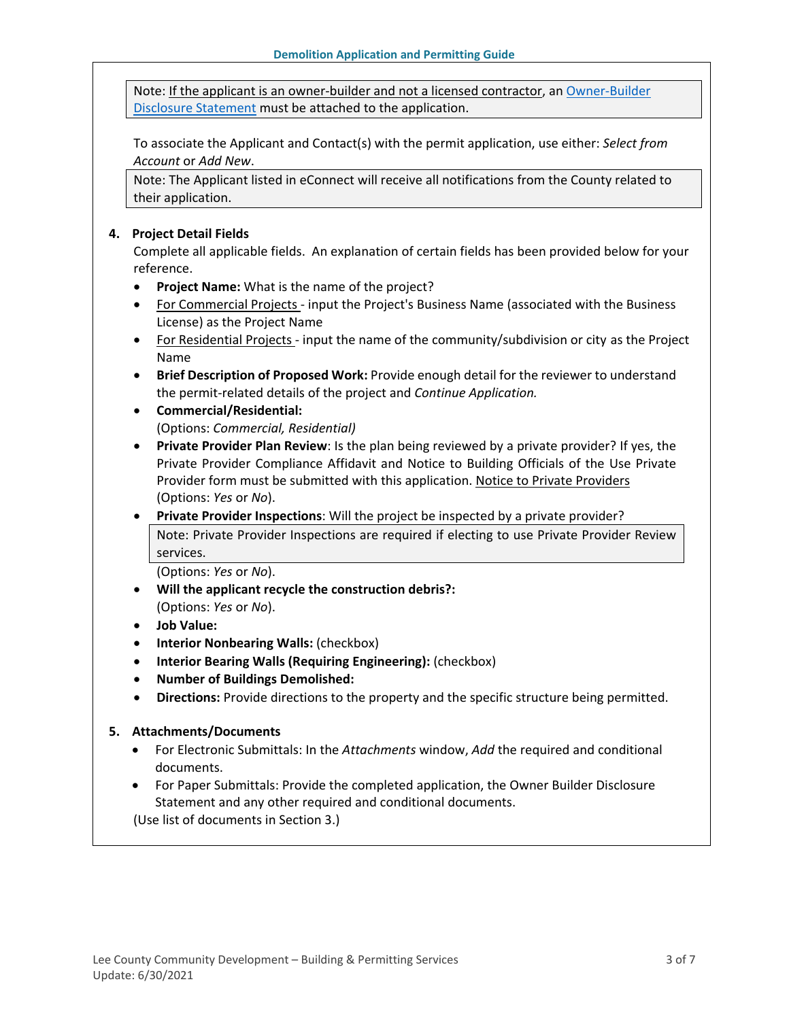Note: If the applicant is an owner-builder and not a licensed contractor, a[n Owner-Builder](https://www.leegov.com/dcd/PermittingDocs/OwnerBldrDisclosure.pdf)  [Disclosure Statement](https://www.leegov.com/dcd/PermittingDocs/OwnerBldrDisclosure.pdf) must be attached to the application.

To associate the Applicant and Contact(s) with the permit application, use either: *Select from Account* or *Add New*.

Note: The Applicant listed in eConnect will receive all notifications from the County related to their application.

#### **4. Project Detail Fields**

Complete all applicable fields. An explanation of certain fields has been provided below for your reference.

- **Project Name:** What is the name of the project?
- For Commercial Projects input the Project's Business Name (associated with the Business License) as the Project Name
- For Residential Projects input the name of the community/subdivision or city as the Project Name
- **Brief Description of Proposed Work:** Provide enough detail for the reviewer to understand the permit-related details of the project and *Continue Application.*
- **Commercial/Residential:** (Options: *Commercial, Residential)*
- **Private Provider Plan Review**: Is the plan being reviewed by a private provider? If yes, the Private Provider Compliance Affidavit and Notice to Building Officials of the Use Private Provider form must be submitted with this application. [Notice to Private Providers](https://www.floridabuilding.org/fbc/committees/Private_Providers/Private_Providers.htm) (Options: *Yes* or *No*).
- **Private Provider Inspections**: Will the project be inspected by a private provider? Note: Private Provider Inspections are required if electing to use Private Provider Review services.

(Options: *Yes* or *No*).

- **Will the applicant recycle the construction debris?:** (Options: *Yes* or *No*).
- **Job Value:**
- **Interior Nonbearing Walls:** (checkbox)
- **Interior Bearing Walls (Requiring Engineering):** (checkbox)
- **Number of Buildings Demolished:**
- **Directions:** Provide directions to the property and the specific structure being permitted.

#### **5. Attachments/Documents**

- For Electronic Submittals: In the *Attachments* window, *Add* the required and conditional documents.
- For Paper Submittals: Provide the completed application, the Owner Builder Disclosure Statement and any other required and conditional documents.

<span id="page-2-0"></span>(Use list of documents in Section 3.)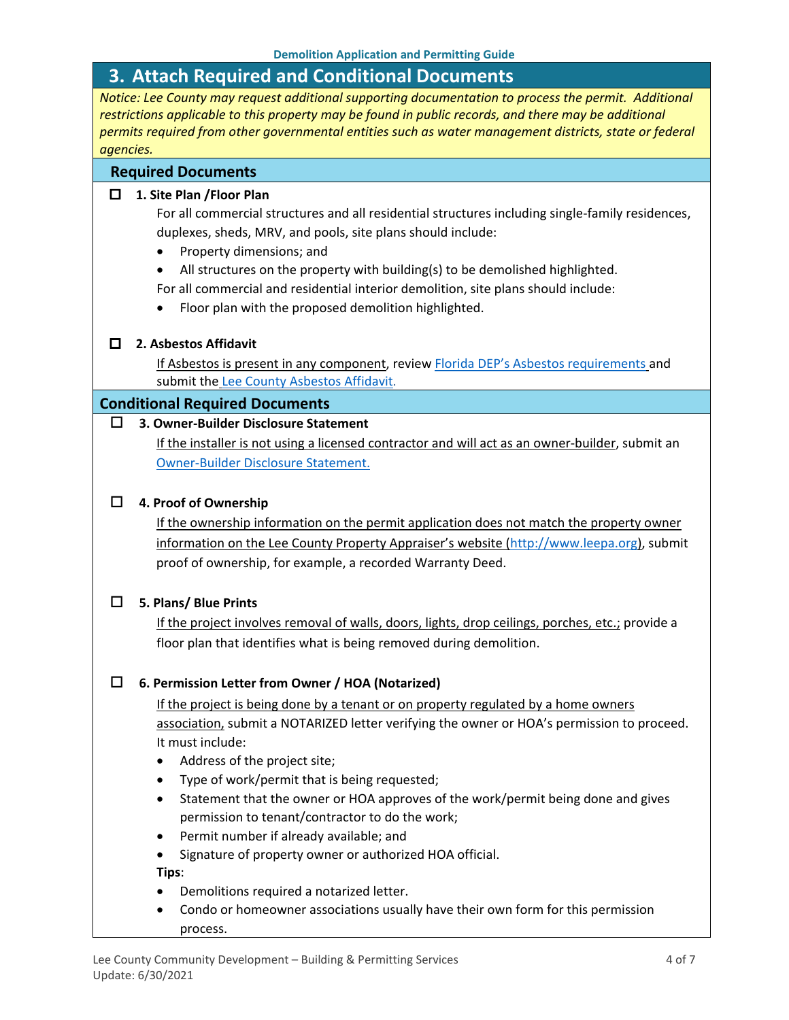### **3. Attach Required and Conditional Documents**

*Notice: Lee County may request additional supporting documentation to process the permit. Additional restrictions applicable to this property may be found in public records, and there may be additional permits required from other governmental entities such as water management districts, state or federal agencies.*

#### **Required Documents**

#### **1. Site Plan /Floor Plan**

For all commercial structures and all residential structures including single-family residences, duplexes, sheds, MRV, and pools, site plans should include:

- Property dimensions; and
- All structures on the property with building(s) to be demolished highlighted.
- For all commercial and residential interior demolition, site plans should include:
- Floor plan with the proposed demolition highlighted.

#### **2. Asbestos Affidavit**

If Asbestos is present in any component, revie[w Florida DEP's Asbestos requirements](https://floridadep.gov/sites/default/files/Asbestos%20Presentation%20for%20Contractors%202019_rk.pdf) and submit the [Lee County Asbestos Affidavit](https://www.leegov.com/dcd/PermittingDocs/AsbestosAffidavit.pdf).

#### **Conditional Required Documents**

#### **3. Owner-Builder Disclosure Statement**

If the installer is not using a licensed contractor and will act as an owner-builder, submit an [Owner-Builder Disclosure Statement.](https://www.leegov.com/dcd/PermittingDocs/OwnerBldrDisclosure.pdf)

#### **4. Proof of Ownership**

If the ownership information on the permit application does not match the property owner information on the Lee County Property Appraiser's website [\(http://www.leepa.org\)](http://www.leepa.org/), submit proof of ownership, for example, a recorded Warranty Deed.

#### **5. Plans/ Blue Prints**

If the project involves removal of walls, doors, lights, drop ceilings, porches, etc.; provide a floor plan that identifies what is being removed during demolition.

#### **6. Permission Letter from Owner / HOA (Notarized)**

If the project is being done by a tenant or on property regulated by a home owners association, submit a NOTARIZED letter verifying the owner or HOA's permission to proceed. It must include:

- Address of the project site;
- Type of work/permit that is being requested;
- Statement that the owner or HOA approves of the work/permit being done and gives permission to tenant/contractor to do the work;
- Permit number if already available; and
- Signature of property owner or authorized HOA official.

**Tips**:

- Demolitions required a notarized letter.
- Condo or homeowner associations usually have their own form for this permission process.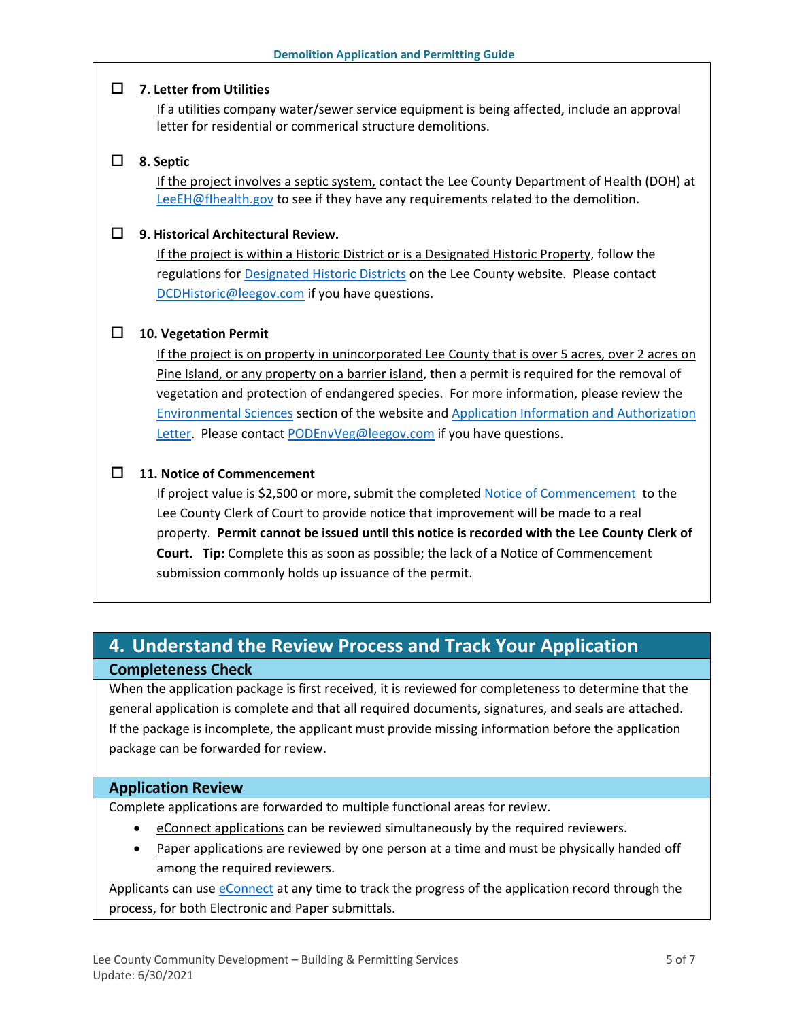#### **7. Letter from Utilities**

If a utilities company water/sewer service equipment is being affected, include an approval letter for residential or commerical structure demolitions.

#### **8. Septic**

If the project involves a septic system, contact the Lee County Department of Health (DOH) at [LeeEH@flhealth.gov](mailto:LeeEH@flhealth.gov) to see if they have any requirements related to the demolition.

#### **9. Historical Architectural Review.**

If the project is within a Historic District or is a Designated Historic Property, follow the regulations for [Designated Historic Districts](https://www.leegov.com/dcd/planning/hp/histdistricts) on the Lee County website. Please contact [DCDHistoric@leegov.com](mailto:DCDHistoric@leegov.com) if you have questions.

#### **10. Vegetation Permit**

If the project is on property in unincorporated Lee County that is over 5 acres, over 2 acres on Pine Island, or any property on a barrier island, then a permit is required for the removal of vegetation and protection of endangered species. For more information, please review the [Environmental Sciences](https://www.leegov.com/dcd/es) section of the website and [Application Information and Authorization](https://www.leegov.com/dcd/es/apps)  [Letter.](https://www.leegov.com/dcd/es/apps) Please contact [PODEnvVeg@leegov.com](mailto:PODEnvVeg@leegov.com) if you have questions.

#### **11. Notice of Commencement**

If project value is \$2,500 or more, submit the completed [Notice of Commencement](https://www.leegov.com/dcd/PermittingDocs/NoticeofCommencement.pdf) to the Lee County Clerk of Court to provide notice that improvement will be made to a real property. **Permit cannot be issued until this notice is recorded with the Lee County Clerk of Court. Tip:** Complete this as soon as possible; the lack of a Notice of Commencement submission commonly holds up issuance of the permit.

## <span id="page-4-0"></span>**4. Understand the Review Process and Track Your Application Completeness Check**

When the application package is first received, it is reviewed for completeness to determine that the general application is complete and that all required documents, signatures, and seals are attached. If the package is incomplete, the applicant must provide missing information before the application package can be forwarded for review.

#### **Application Review**

Complete applications are forwarded to multiple functional areas for review.

- eConnect applications can be reviewed simultaneously by the required reviewers.
- Paper applications are reviewed by one person at a time and must be physically handed off among the required reviewers.

Applicants can use [eConnect](https://accelaaca.leegov.com/aca/) at any time to track the progress of the application record through the process, for both Electronic and Paper submittals.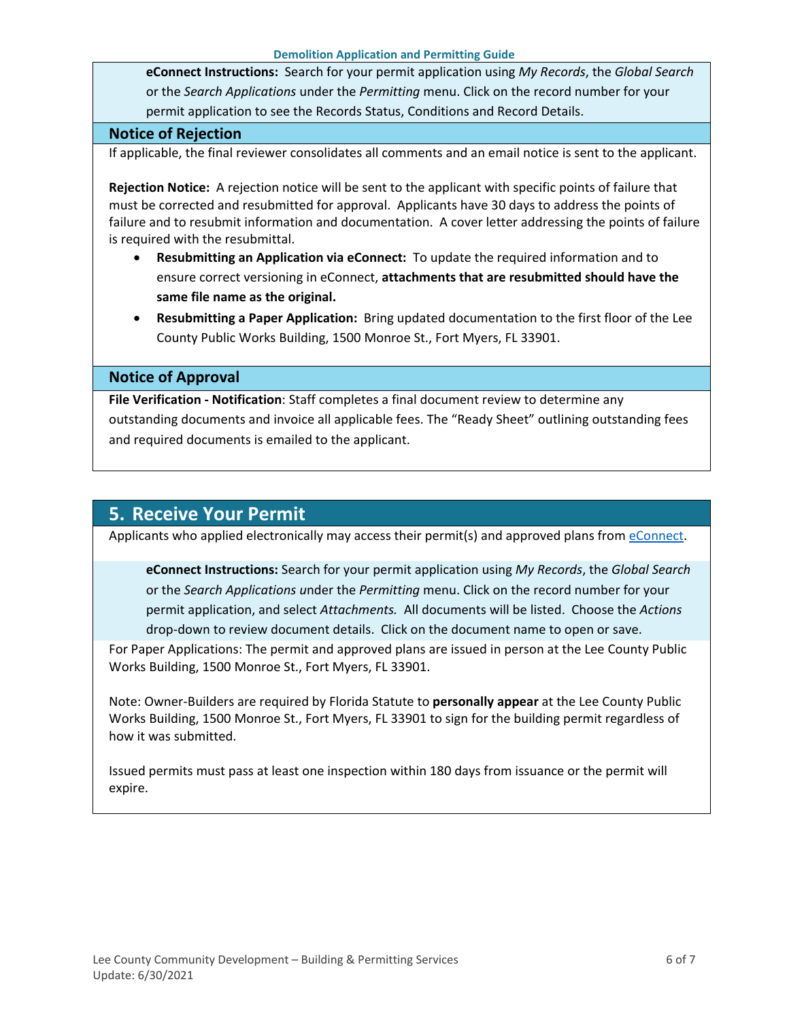**eConnect Instructions:** Search for your permit application using *My Records*, the *Global Search* or the *Search Applications* under the *Permitting* menu. Click on the record number for your permit application to see the Records Status, Conditions and Record Details.

#### **Notice of Rejection**

If applicable, the final reviewer consolidates all comments and an email notice is sent to the applicant.

**Rejection Notice:** A rejection notice will be sent to the applicant with specific points of failure that must be corrected and resubmitted for approval. Applicants have 30 days to address the points of failure and to resubmit information and documentation. A cover letter addressing the points of failure is required with the resubmittal.

- **Resubmitting an Application via eConnect:** To update the required information and to ensure correct versioning in eConnect, **attachments that are resubmitted should have the same file name as the original.**
- **Resubmitting a Paper Application:** Bring updated documentation to the first floor of the Lee County Public Works Building, 1500 Monroe St., Fort Myers, FL 33901.

#### **Notice of Approval**

**File Verification - Notification**: Staff completes a final document review to determine any outstanding documents and invoice all applicable fees. The "Ready Sheet" outlining outstanding fees and required documents is emailed to the applicant.

### <span id="page-5-0"></span>**5. Receive Your Permit**

Applicants who applied electronically may access their permit(s) and approved plans from [eConnect.](https://accelaaca.leegov.com/aca/)

**eConnect Instructions:** Search for your permit application using *My Records*, the *Global Search* or the *Search Applications u*nder the *Permitting* menu. Click on the record number for your permit application, and select *Attachments.* All documents will be listed. Choose the *Actions*  drop-down to review document details. Click on the document name to open or save.

For Paper Applications: The permit and approved plans are issued in person at the Lee County Public Works Building, 1500 Monroe St., Fort Myers, FL 33901.

Note: Owner-Builders are required by Florida Statute to **personally appear** at the Lee County Public Works Building, 1500 Monroe St., Fort Myers, FL 33901 to sign for the building permit regardless of how it was submitted.

Issued permits must pass at least one inspection within 180 days from issuance or the permit will expire.